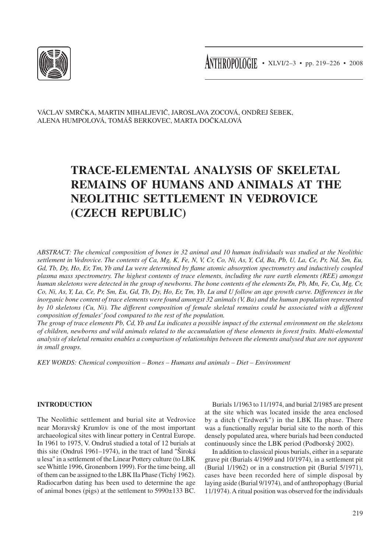

 $\text{ATHROPOIOGIE} \cdot \text{XLV1/2-3} \cdot \text{pp. 219-226} \cdot \text{2008}$ 

VÁCLAV Smrčka, MARTIN Mihaljevič, JAROSLAVA Zocová, ONDŘEJ Šebek, ALENA Humpolová, TOMÁŠ Berkovec, MARTA Dočkalová

# **Trace-elemental analysis of skeletal remains of humans and animals at the Neolithic settlement in Vedrovice (Czech Republic)**

*Abstract: The chemical composition of bones in 32 animal and 10 human individuals was studied at the Neolithic settlement in Vedrovice. The contents of Ca, Mg, K, Fe, N, V, Cr, Co, Ni, As, Y, Cd, Ba, Pb, U, La, Ce, Pr, Nd, Sm, Eu, Gd, Tb, Dy, Ho, Er, Tm, Yb and Lu were determined by flame atomic absorption spectrometry and inductively coupled plasma mass spectrometry. The highest contents of trace elements, including the rare earth elements (REE) amongst human skeletons were detected in the group of newborns. The bone contents of the elements Zn, Pb, Mn, Fe, Cu, Mg, Cr, Co, Ni, As, Y, La, Ce, Pr, Sm, Eu, Gd, Tb, Dy, Ho, Er, Tm, Yb, Lu and U follow an age growth curve. Differences in the inorganic bone content of trace elements were found amongst 32 animals (V, Ba) and the human population represented by 10 skeletons (Cu, Ni). The different composition of female skeletal remains could be associated with a different composition of females' food compared to the rest of the population.*

*The group of trace elements Pb, Cd, Yb and Lu indicates a possible impact of the external environment on the skeletons of children, newborns and wild animals related to the accumulation of these elements in forest fruits. Multi-elemental analysis of skeletal remains enables a comparison of relationships between the elements analysed that are not apparent in small groups.*

*Key words: Chemical composition – Bones – Humans and animals – Diet – Environment*

# **Introduction**

The Neolithic settlement and burial site at Vedrovice near Moravský Krumlov is one of the most important archaeological sites with linear pottery in Central Europe. In 1961 to 1975, V. Ondruš studied a total of 12 burials at this site (Ondruš 1961–1974), in the tract of land "Široká u lesa" in a settlement of the Linear Pottery culture (to LBK see Whittle 1996, Gronenborn 1999). For the time being, all of them can be assigned to the LBK IIa Phase (Tichý 1962). Radiocarbon dating has been used to determine the age of animal bones (pigs) at the settlement to 5990±133 BC.

Burials 1/1963 to 11/1974, and burial 2/1985 are present at the site which was located inside the area enclosed by a ditch ("Erdwerk") in the LBK IIa phase. There was a functionally regular burial site to the north of this densely populated area, where burials had been conducted continuously since the LBK period (Podborský 2002).

In addition to classical pious burials, either in a separate grave pit (Burials 4/1969 and 10/1974), in a settlement pit (Burial 1/1962) or in a construction pit (Burial 5/1971), cases have been recorded here of simple disposal by laying aside (Burial 9/1974), and of anthropophagy (Burial 11/1974). A ritual position was observed for the individuals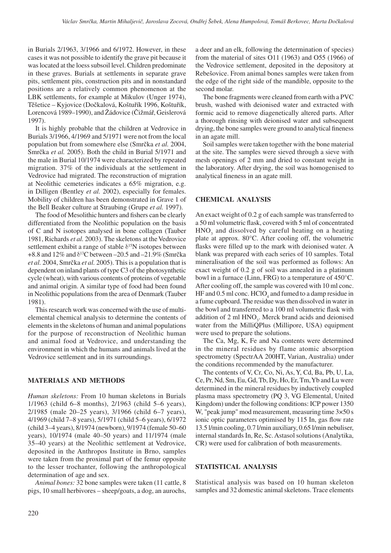in Burials 2/1963, 3/1966 and 6/1972. However, in these cases it was not possible to identify the grave pit because it was located at the loess subsoil level. Children predominate in these graves. Burials at settlements in separate grave pits, settlement pits, construction pits and in nonstandard positions are a relatively common phenomenon at the LBK settlements, for example at Mikulov (Unger 1974), Těšetice – Kyjovice (Dočkalová, Koštuřík 1996, Koštuřík, Lorencová 1989–1990), and Žádovice (Čižmář, Geislerová 1997).

It is highly probable that the children at Vedrovice in Burials 3/1966, 4/1969 and 5/1971 were not from the local population but from somewhere else (Smrčka *et al.* 2004, Smrčka *et al.* 2005). Both the child in Burial 5/1971 and the male in Burial 10/1974 were characterized by repeated migration. 37% of the individuals at the settlement in Vedrovice had migrated. The reconstruction of migration at Neolithic cemeteries indicates a 65% migration, e.g. in Dilligen (Bentley *et al.* 2002), especially for females. Mobility of children has been demonstrated in Grave 1 of the Bell Beaker culture at Straubing (Grupe *et al.* 1997).

The food of Mesolithic hunters and fishers can be clearly differentiated from the Neolithic population on the basis of C and N isotopes analysed in bone collagen (Tauber 1981, Richards *et al.* 2003). The skeletons at the Vedrovice settlement exhibit a range of stable  $\delta^{15}N$  isotopes between +8.8 and  $12\%$  and  $\delta$ <sup>13</sup>C between -20.5 and -21.9% (Smrčka *et al.* 2004, Smrčka *et al.* 2005). This is a population that is dependent on inland plants of type C3 of the photosynthetic cycle (wheat), with various contents of proteins of vegetable and animal origin. A similar type of food had been found in Neolithic populations from the area of Denmark (Tauber 1981).

This research work was concerned with the use of multielemental chemical analysis to determine the contents of elements in the skeletons of human and animal populations for the purpose of reconstruction of Neolithic human and animal food at Vedrovice, and understanding the environment in which the humans and animals lived at the Vedrovice settlement and in its surroundings.

# **Materials and methods**

*Human skeletons:* From 10 human skeletons in Burials 1/1963 (child 6–8 months), 2/1963 (child 5–6 years), 2/1985 (male 20–25 years), 3/1966 (child 6–7 years), 4/1969 (child 7–8 years), 5/1971 (child 5–6 years), 6/1972 (child 3–4 years), 8/1974 (newborn), 9/1974 (female 50–60 years), 10/1974 (male 40–50 years) and 11/1974 (male 35–40 years) at the Neolithic settlement at Vedrovice, deposited in the Anthropos Institute in Brno, samples were taken from the proximal part of the femur opposite to the lesser trochanter, following the anthropological determination of age and sex.

*Animal bones:* 32 bone samples were taken (11 cattle, 8 pigs, 10 small herbivores – sheep/goats, a dog, an aurochs, a deer and an elk, following the determination of species) from the material of sites O11 (1963) and O55 (1966) of the Vedrovice settlement, deposited in the depository at Rebešovice. From animal bones samples were taken from the edge of the right side of the mandible, opposite to the second molar.

The bone fragments were cleaned from earth with a PVC brush, washed with deionised water and extracted with formic acid to remove diagenetically altered parts. After a thorough rinsing with deionised water and subsequent drying, the bone samples were ground to analytical fineness in an agate mill.

Soil samples were taken together with the bone material at the site. The samples were sieved through a sieve with mesh openings of 2 mm and dried to constant weight in the laboratory. After drying, the soil was homogenised to analytical fineness in an agate mill.

## **Chemical analysis**

An exact weight of 0.2 g of each sample was transferred to a 50 ml volumetric flask, covered with 5 ml of concentrated  $HNO<sub>3</sub>$  and dissolved by careful heating on a heating plate at approx. 80°C. After cooling off, the volumetric flasks were filled up to the mark with deionised water. A blank was prepared with each series of 10 samples. Total mineralisation of the soil was performed as follows: An exact weight of 0.2 g of soil was annealed in a platinum bowl in a furnace (Linn, FRG) to a temperature of 450°C. After cooling off, the sample was covered with 10 ml conc. HF and  $0.5$  ml conc. HClO<sub>4</sub> and fumed to a damp residue in a fume cupboard. The residue was then dissolved in water in the bowl and transferred to a 100 ml volumetric flask with addition of 2 ml  $HNO<sub>3</sub>$ . Merck brand acids and deionised water from the MilliQPlus (Millipore, USA) equipment were used to prepare the solutions.

The Ca, Mg, K, Fe and Na contents were determined in the mineral residues by flame atomic absorption spectrometry (SpectrAA 200HT, Varian, Australia) under the conditions recommended by the manufacturer.

The contents of V, Cr, Co, Ni, As, Y, Cd, Ba, Pb, U, La, Ce, Pr, Nd, Sm, Eu, Gd, Tb, Dy, Ho, Er, Tm, Yb and Lu were determined in the mineral residues by inductively coupled plasma mass spectrometry (PQ 3, VG Elemental, United Kingdom) under the following conditions: ICP power 1350 W, "peak jump" mod measurement, measuring time 3×50 s ionic optic parameters optimised by 115 In, gas flow rate 13.5 l/min cooling, 0.7 l/min auxiliary, 0.65 l/min nebuliser, internal standards In, Re, Sc. Astasol solutions (Analytika, CR) were used for calibration of both measurements.

# **Statistical analysis**

Statistical analysis was based on 10 human skeleton samples and 32 domestic animal skeletons. Trace elements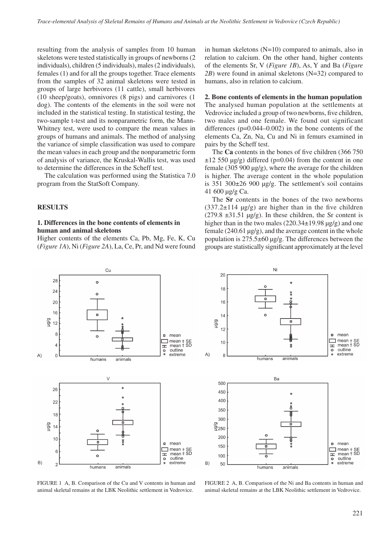resulting from the analysis of samples from 10 human skeletons were tested statistically in groups of newborns (2 individuals), children (5 individuals), males (2 individuals), females (1) and for all the groups together. Trace elements from the samples of 32 animal skeletons were tested in groups of large herbivores (11 cattle), small herbivores (10 sheep/goats), omnivores (8 pigs) and carnivores (1 dog). The contents of the elements in the soil were not included in the statistical testing. In statistical testing, the two-sample t-test and its nonparametric form, the Mann-Whitney test, were used to compare the mean values in groups of humans and animals. The method of analysing the variance of simple classification was used to compare the mean values in each group and the nonparametric form of analysis of variance, the Kruskal-Wallis test, was used to determine the differences in the Scheff test.

The calculation was performed using the Statistica 7.0 program from the StatSoft Company.

### **Results**

# **1. Differences in the bone contents of elements in human and animal skeletons**

Higher contents of the elements Ca, Pb, Mg, Fe, K, Cu (*Figure 1A*), Ni (*Figure 2A*), La, Ce, Pr, and Nd were found in human skeletons  $(N=10)$  compared to animals, also in relation to calcium. On the other hand, higher contents of the elements Sr, V (*Figure 1B*), As, Y and Ba (*Figure 2B*) were found in animal skeletons (N=32) compared to humans, also in relation to calcium.

#### **2. Bone contents of elements in the human population**

The analysed human population at the settlements at Vedrovice included a group of two newborns, five children, two males and one female. We found out significant differences (p=0.044–0.002) in the bone contents of the elements Ca, Zn, Na, Cu and Ni in femurs examined in pairs by the Scheff test.

The **Ca** contents in the bones of five children (366 750  $\pm$ 12 550 μg/g) differed (p=0.04) from the content in one female (305 900 μg/g), where the average for the children is higher. The average content in the whole population is 351 300±26 900 μg/g. The settlement's soil contains 41 600 μg/g Ca.

The **Sr** contents in the bones of the two newborns  $(337.2 \pm 114 \text{ µg/g})$  are higher than in the five children (279.8  $\pm$ 31.51 µg/g). In these children, the Sr content is higher than in the two males (220.34±19.98 μg/g) and one female (240.61 μg/g), and the average content in the whole population is 275.5±60 μg/g. The differences between the groups are statistically significant approximately at the level





FIGURE 1 A, B. Comparison of the Cu and V contents in human and animal skeletal remains at the LBK Neolithic settlement in Vedrovice.

FIGURE 2 A, B. Comparison of the Ni and Ba contents in human and animal skeletal remains at the LBK Neolithic settlement in Vedrovice.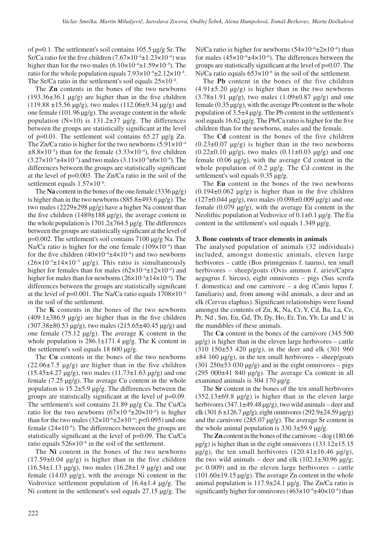of p=0.1. The settlement's soil contains 105.5 μg/g Sr. The Sr/Ca ratio for the five children  $(7.67 \times 10^{-4} \pm 1.23 \times 10^{-4})$  was higher than for the two males  $(6.10 \times 10^{-4} \pm 1.59 \times 10^{-5})$ . The ratio for the whole population equals  $7.93\times10^{-4}$   $\pm$ 2.12 $\times10^{-4}$ . The Sr/Ca ratio in the settlement's soil equals  $25 \times 10^{-4}$ .

The **Zn** contents in the bones of the two newborns  $(193.36\pm36.1 \text{ µg/g})$  are higher than in the five children (119.88  $\pm$ 15.56 μg/g), two males (112.06 $\pm$ 9.34 μg/g) and one female (101.96 μg/g). The average content in the whole population ( $N=10$ ) is 131.2 $\pm$ 37 μg/g. The differences between the groups are statistically significant at the level of p=0.01. The settlement soil contains 65.27 μg/g Zn. The Zn/Ca ratio is higher for the two newborns  $(5.91 \times 10^{-4}$  $\pm 8.8 \times 10^{-5}$ ) than for the female (3.33 $\times 10^{-4}$ ), five children  $(3.27 \times 10^{-4} \pm 4 \times 10^{-5})$  and two males  $(3.11 \times 10^{-4} \pm 6 \times 10^{-6})$ . The differences between the groups are statistically significant at the level of p=0.003. The Zn/Ca ratio in the soil of the settlement equals 1.57×10–6.

The **Na** content in the bones of the one female (3336 μg/g) is higher than in the two newborns  $(885.8\pm 493.6 \,\mu g/g)$ . The two males  $(2229\pm 298 \text{ μg/g})$  have a higher Na content than the five children (1489±188 μg/g), the average content in the whole population is 1701.2±764.5 μg/g. The differences between the groups are statistically significant at the level of p=0.002. The settlement's soil contains 7100 μg/g Na. The Na/Ca ratio is higher for the one female  $(109\times10^{-4})$  than for the five children  $(40\times10^{-4} \pm 4\times10^{-4})$  and two newborns  $(26\times10^{-4} \pm 14\times10^{-4} \text{ }\mu\text{g/g})$ . This ratio is simultaneously higher for females than for males  $(62\times10^{-4} \pm 12\times10^{-4})$  and higher for males than for newborns  $(26\times10^{-4} \pm 14\times10^{-4})$ . The differences between the groups are statistically significant at the level of p=0.001. The Na/Ca ratio equals  $1708\times10^{-4}$ in the soil of the settlement.

The **K** contents in the bones of the two newborns  $(409.1\pm386.9 \text{ µg/g})$  are higher than in the five children  $(307.38\pm80.53 \text{ µg/g})$ , two males  $(215.65\pm40.45 \text{ µg/g})$  and one female (75.12 μg/g). The average K content in the whole population is  $286.1 \pm 171.4$  μg/g. The K content in the settlement's soil equals 18 600 μg/g.

The **Cu** contents in the bones of the two newborns  $(22.06\pm7.5 \text{ µg/g})$  are higher than in the five children  $(15.45\pm4.27 \text{ µg/g})$ , two males  $(11.73\pm1.63 \text{ µg/g})$  and one female (7.25 μg/g). The average Cu content in the whole population is 15.2±5.9 μg/g. The differences between the groups are statistically significant at the level of p=0.09. The settlement's soil contains 21.89 μg/g Cu. The Cu/Ca ratio for the two newborns  $(67\times10^{-6} \pm 20\times10^{-6})$  is higher than for the two males  $(32\times10^{-6}\pm2\times10^{-6}; \text{p}<0.095)$  and one female  $(24 \times 10^{-6})$ . The differences between the groups are statistically significant at the level of p=0.09. The Cu/Ca ratio equals  $526\times10^{-6}$  in the soil of the settlement.

The **Ni** content in the bones of the two newborns  $(17.59\pm0.04 \text{ µg/g})$  is higher than in the five children (16.54 $\pm$ 1.13 μg/g), two males (16.28 $\pm$ 1.9 μg/g) and one female (14.03 μg/g), with the average Ni content in the Vedrovice settlement population of  $16.4 \pm 1.4$  μg/g. The Ni content in the settlement's soil equals 27.15 μg/g. The Ni/Ca ratio is higher for newborns  $(54\times10^{-6} \pm 2\times10^{-6})$  than for males  $(45\times10^{-6} \pm 4\times10^{-6})$ . The differences between the groups are statistically significant at the level of p=0.07. The Ni/Ca ratio equals  $653\times10^{-6}$  in the soil of the settlement.

The **Pb** content in the bones of the five children  $(4.91\pm5.20 \text{ µg/g})$  is higher than in the two newborns  $(3.78\pm1.91 \text{ µg/g})$ , two males  $(1.09\pm0.87 \text{ µg/g})$  and one female  $(0.35 \mu g/g)$ , with the average Pb content in the whole population of 3.5±4 μg/g. The Pb content in the settlement's soil equals 16.62 μg/g. The Pb/Ca ratio is higher for the five children than for the newborns, males and the female.

The **Cd** content in the bones of the five children  $(0.23\pm0.07 \text{ µg/g})$  is higher than in the two newborns  $(0.22±0.10 \text{ μg/g})$ , two males  $(0.11±0.03 \text{ μg/g})$  and one female (0.06 μg/g), with the average Cd content in the whole population of 0.2 μg/g. The Cd content in the settlement's soil equals 0.35 μg/g.

The **Eu** content in the bones of the two newborns  $(0.194\pm0.062 \text{ µg/g})$  is higher than in the five children  $(127\pm0.044 \text{ µg/g})$ , two males  $(0.098\pm0.009 \text{ µg/g})$  and one female (0.079 μg/g), with the average Eu content in the Neolithic population at Vedrovice of 0.1±0.1 μg/g. The Eu content in the settlement's soil equals 1.349 μg/g.

#### **3. Bone contents of trace elements in animals**

The analysed population of animals (32 individuals) included, amongst domestic animals, eleven large herbivores – cattle (Bos primigenius f. taurus), ten small herbivores – sheep/goats (Ovis ammon f. aries/Capra aegagrus f. hircus), eight omnivores – pigs (Sus scrofa f. domestica) and one carnivore – a dog (Canis lupus f. familiaris) and, from among wild animals, a deer and an elk (Cervus elaphus). Significant relationships were found amongst the contents of Zn, K, Na, Cr, Y, Cd, Ba, La, Ce, Pr, Nd , Sm, Eu, Gd, Tb, Dy, Ho, Er, Tm, Yb, Lu and U in the mandibles of these animals.

The **Ca** content in the bones of the carnivore (345 500  $\mu$ g/g) is higher than in the eleven large herbivores – cattle (310  $150\pm53$  420  $\mu$ g/g), in the deer and elk (301 960  $\pm 84$  160 μg/g), in the ten small herbivores – sheep/goats  $(301 250 \pm 53 030 \text{ µg/g})$  and in the eight omnivores – pigs (295 000 $\pm$ 41 840 μg/g). The average Ca content in all examined animals is 304 170 μg/g.

The **Sr** content in the bones of the ten small herbivores  $(352.13\pm69.8 \text{ µg/g})$  is higher than in the eleven large herbivores (347.1±49.48 μg/g), two wild animals – deer and elk (301.6 ±126.7 μg/g), eight omnivores (292.9±24.59 μg/g) and the carnivore (285.07 μg/g). The average Sr content in the whole animal population is  $330.3 \pm 59.9$  μg/g.

The **Zn** content in the bones of the carnivore – dog (180.66  $\mu$ g/g) is higher than in the eight omnivores (133.12 $\pm$ 15.15 μg/g), the ten small herbivores  $(120.41 \pm 16.46 \text{ µg/g})$ , the two wild animals – deer and elk  $(102.1\pm30.96 \text{ µg/g})$ ; p< 0.009) and in the eleven large herbivores – cattle  $(101.60\pm19.15 \,\mu g/g)$ . The average Zn content in the whole animal population is 117.9±24.1 μg/g. The Zn/Ca ratio is significantly higher for omnivores  $(463 \times 10^{-6} \pm 40 \times 10^{-6})$  than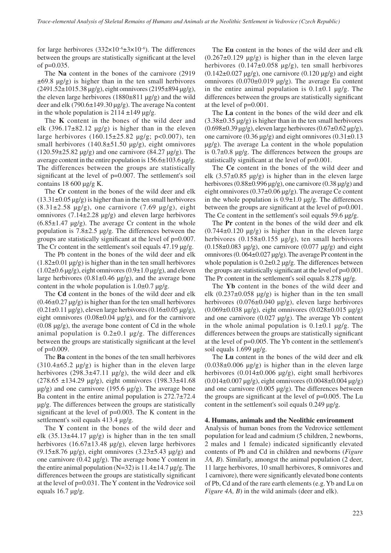for large herbivores  $(332\times10^{-6} \pm 3\times10^{-6})$ . The differences between the groups are statistically significant at the level of p=0.035.

The **Na** content in the bones of the carnivore (2919  $\pm 69.8$  μg/g) is higher than in the ten small herbivores  $(2491.52 \pm 1015.38 \,\mu$ g/g), eight omnivores  $(2195 \pm 894 \,\mu$ g/g), the eleven large herbivores  $(1880\pm811 \text{ µg/g})$  and the wild deer and elk (790.6±149.30 μg/g). The average Na content in the whole population is  $2114 \pm 149$  μg/g.

The **K** content in the bones of the wild deer and elk (396.17 $\pm$ 82.12 μg/g) is higher than in the eleven large herbivores (160.15±25.82 μg/g; p<0.007), ten small herbivores  $(140.8\pm51.50 \text{ µg/g})$ , eight omnivores (120.59±25.82 μg/g) and one carnivore (84.27 μg/g). The average content in the entire population is  $156.6 \pm 103.6$  μg/g. The differences between the groups are statistically significant at the level of p=0.007. The settlement's soil contains 18 600 μg/g K.

The **Cr** content in the bones of the wild deer and elk  $(13.31\pm0.05 \,\mu g/g)$  is higher than in the ten small herbivores  $(8.31\pm 2.58 \text{ µg/g})$ , one carnivore  $(7.69 \text{ µg/g})$ , eight omnivores  $(7.14 \pm 2.28 \text{ µg/g})$  and eleven large herbivores  $(6.85\pm1.47 \text{ µg/g})$ . The average Cr content in the whole population is  $7.8\pm2.5$  μg/g. The differences between the groups are statistically significant at the level of p=0.007. The Cr content in the settlement's soil equals 47.19 μg/g.

The Pb content in the bones of the wild deer and elk  $(1.82\pm0.01 \,\mu g/g)$  is higher than in the ten small herbivores  $(1.02\pm0.6 \,\mu$ g/g), eight omnivores  $(0.9\pm1.0 \,\mu$ g/g), and eleven large herbivores  $(0.81 \pm 0.46 \text{ µg/g})$ , and the average bone content in the whole population is  $1.0\pm 0.7$  μg/g.

The **Cd** content in the bones of the wild deer and elk  $(0.46\pm0.27 \,\mu g/g)$  is higher than for the ten small herbivores  $(0.21\pm0.11 \,\mu g/g)$ , eleven large herbivores  $(0.16\pm0.05 \,\mu g/g)$ , eight omnivores  $(0.08\pm0.04 \text{ µg/g})$ , and for the carnivore  $(0.08 \text{ µg/g})$ , the average bone content of Cd in the whole animal population is  $0.2\pm0.1$   $\mu$ g/g. The differences between the groups are statistically significant at the level of  $p=0.009$ .

The **Ba** content in the bones of the ten small herbivores  $(310.4\pm65.2 \text{ µg/g})$  is higher than in the eleven large herbivores  $(298.3\pm47.11 \text{ µg/g})$ , the wild deer and elk (278.65 ±134.29 μg/g), eight omnivores (198.33±41.68 μg/g) and one carnivore (195.6 μg/g). The average bone Ba content in the entire animal population is 272.7±72.4 μg/g. The differences between the groups are statistically significant at the level of p=0.003. The K content in the settlement's soil equals 413.4 μg/g.

The **Y** content in the bones of the wild deer and elk  $(35.13\pm44.17 \text{ µg/g})$  is higher than in the ten small herbivores  $(16.67\pm 13.48 \text{ µg/g})$ , eleven large herbivores  $(9.15\pm8.76 \text{ µg/g})$ , eight omnivores  $(3.23\pm5.43 \text{ µg/g})$  and one carnivore (0.42 μg/g). The average bone Y content in the entire animal population ( $N=32$ ) is 11.4 $\pm$ 14.7 μg/g. The differences between the groups are statistically significant at the level of p=0.031. The Y content in the Vedrovice soil equals 16.7 μg/g.

The **Eu** content in the bones of the wild deer and elk  $(0.267\pm0.129 \text{ µg/g})$  is higher than in the eleven large herbivores  $(0.147\pm0.058 \text{ µg/g})$ , ten small herbivores  $(0.142\pm0.027 \text{ µg/g})$ , one carnivore  $(0.120 \text{ µg/g})$  and eight omnivores (0.070±0.019 μg/g). The average Eu content in the entire animal population is  $0.1 \pm 0.1$  µg/g. The differences between the groups are statistically significant at the level of p=0.001.

The **La** content in the bones of the wild deer and elk  $(3.38\pm0.35 \,\mu g/g)$  is higher than in the ten small herbivores (0.698±0.39 μg/g), eleven large herbivores (0.67±0.62 μg/g), one carnivore (0.36 μg/g) and eight omnivores (0.31±0.13 μg/g). The average La content in the whole population is 0.7±0.8 μg/g. The differences between the groups are statistically significant at the level of p=0.001.

The **Ce** content in the bones of the wild deer and elk  $(3.57\pm0.85 \text{ µg/g})$  is higher than in the eleven large herbivores  $(0.88\pm0.996 \,\mu\text{g/g})$ , one carnivore  $(0.38 \,\mu\text{g/g})$  and eight omnivores (0.37±0.06 μg/g). The average Ce content in the whole population is  $0.9\pm1.0$  μg/g. The differences between the groups are significant at the level of p=0.001. The Ce content in the settlement's soil equals 59.6 μg/g.

The **Pr** content in the bones of the wild deer and elk  $(0.744\pm0.120 \text{ µg/g})$  is higher than in the eleven large herbivores (0.158±0.155 μg/g), ten small herbivores  $(0.158\pm0.083 \text{ µg/g})$ , one carnivore  $(0.077 \text{ µg/g})$  and eight omnivores (0. 064±0.027 μg/g). The average Pr content in the whole population is  $0.2\pm 0.2$  μg/g. The differences between the groups are statistically significant at the level of p=0.001. The Pr content in the settlement's soil equals 8.278 μg/g.

The **Yb** content in the bones of the wild deer and elk  $(0.237\pm0.058 \text{ µg/g})$  is higher than in the ten small herbivores (0.076±0.040 μg/g), eleven large herbivores (0.069±0.038 μg/g), eight omnivores (0.028±0.015 μg/g) and one carnivore (0.027 μg/g). The average Yb content in the whole animal population is  $0.1\pm0.1$  μg/g. The differences between the groups are statistically significant at the level of p=0.005. The Yb content in the settlement's soil equals 1.699 μg/g.

The **Lu** content in the bones of the wild deer and elk  $(0.038\pm0.006 \text{ µg/g})$  is higher than in the eleven large herbivores  $(0.014\pm0.006 \text{ µg/g})$ , eight small herbivores  $(0.014±0.007 \text{ µg/g})$ , eight omnivores  $(0.0048±0.004 \text{ µg/g})$ and one carnivore (0.005 μg/g). The differences between the groups are significant at the level of p=0.005. The Lu content in the settlement's soil equals 0.249 μg/g.

#### **4. Humans, animals and the Neolithic environment**

Analysis of human bones from the Vedrovice settlement population for lead and cadmium (5 children, 2 newborns, 2 males and 1 female) indicated significantly elevated contents of Pb and Cd in children and newborns (*Figure 3A, B*). Similarly, amongst the animal population (2 deer, 11 large herbivores, 10 small herbivores, 8 omnivores and 1 carnivore), there were significantly elevated bone contents of Pb, Cd and of the rare earth elements (e.g. Yb and Lu on *Figure 4A, B*) in the wild animals (deer and elk).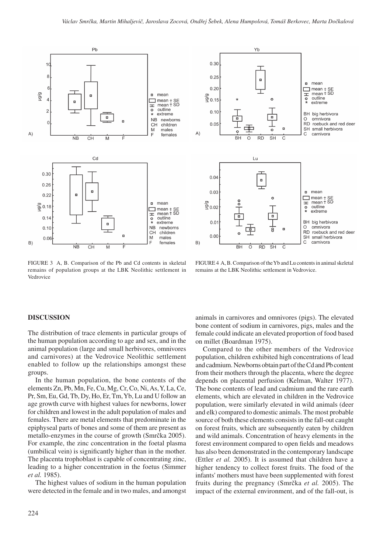$B)$ 



Yb  $0.30$  $0.25$  $n$  mean  $\Box$  mean  $\pm$  SE<br> $\pm$  mean  $\pm$  SD  $0.20$ \_<br>କ୍ର<sub>0.15</sub> outline  $\circ$  $\frac{0}{4}$ extreme  $0.10$ BH big herbivora Ξ. 市  $\circ$ omnivora RD roebuck and red deer  $0.05$ 'n SH small herbivora  $\circ$ A) carnivora C  $\overline{\circ}$  $\overline{\text{SH}}$ **BH RD**  $\mathsf{C}$ Lu  $0.04$  $\blacksquare$  $0.03$  $n$  mean mean + SE<br>  $\pm$  mean + SD<br> **o** outline  $\frac{8}{9}0.02$  $\frac{0}{x}$ extreme  $\blacksquare$  $0.0^{\circ}$ BH big herbivora omnivora O  $RD$ roebuck and red deer  $0.00$ small herbivora **SH** 

FIGURE 3 A, B. Comparison of the Pb and Cd contents in skeletal remains of population groups at the LBK Neolithic settlement in Vedrovice

FIGURE 4 A, B. Comparison of the Yb and Lu contents in animal skeletal remains at the LBK Neolithic settlement in Vedrovice.

 $\frac{1}{\mathsf{S}}$ H

て

 $\overline{RD}$ 

 $\overline{\circ}$ 

 $\overline{BH}$ 

 $\mathsf{C}$ 

carnivora

#### **Discussion**

The distribution of trace elements in particular groups of the human population according to age and sex, and in the animal population (large and small herbivores, omnivores and carnivores) at the Vedrovice Neolithic settlement enabled to follow up the relationships amongst these groups.

In the human population, the bone contents of the elements Zn, Pb, Mn, Fe, Cu, Mg, Cr, Co, Ni, As, Y, La, Ce, Pr, Sm, Eu, Gd, Tb, Dy, Ho, Er, Tm, Yb, Lu and U follow an age growth curve with highest values for newborns, lower for children and lowest in the adult population of males and females. There are metal elements that predominate in the epiphyseal parts of bones and some of them are present as metallo-enzymes in the course of growth (Smrčka 2005). For example, the zinc concentration in the foetal plasma (umbilical vein) is significantly higher than in the mother. The placenta trophoblast is capable of concentrating zinc, leading to a higher concentration in the foetus (Simmer *et al.* 1985).

The highest values of sodium in the human population were detected in the female and in two males, and amongst animals in carnivores and omnivores (pigs). The elevated bone content of sodium in carnivores, pigs, males and the female could indicate an elevated proportion of food based on millet (Boardman 1975).

Compared to the other members of the Vedrovice population, children exhibited high concentrations of lead and cadmium. Newborns obtain part of the Cd and Pb content from their mothers through the placenta, where the degree depends on placental perfusion (Kelman, Walter 1977). The bone contents of lead and cadmium and the rare earth elements, which are elevated in children in the Vedrovice population, were similarly elevated in wild animals (deer and elk) compared to domestic animals. The most probable source of both these elements consists in the fall-out caught on forest fruits, which are subsequently eaten by children and wild animals. Concentration of heavy elements in the forest environment compared to open fields and meadows has also been demonstrated in the contemporary landscape (Ettler *et al.* 2005). It is assumed that children have a higher tendency to collect forest fruits. The food of the infants' mothers must have been supplemented with forest fruits during the pregnancy (Smrčka *et al.* 2005). The impact of the external environment, and of the fall-out, is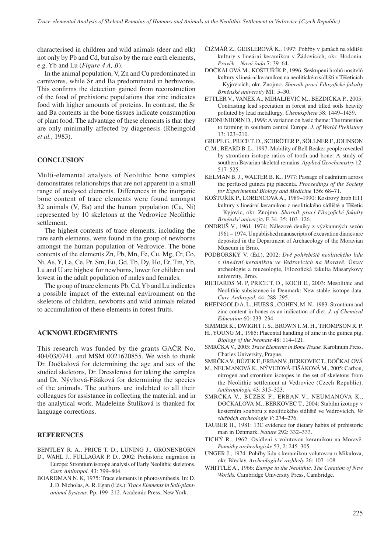characterised in children and wild animals (deer and elk) not only by Pb and Cd, but also by the rare earth elements, e.g. Yb and Lu (*Figure 4 A, B*).

In the animal population, V, Zn and Cu predominated in carnivores, while Sr and Ba predominated in herbivores. This confirms the detection gained from reconstruction of the food of prehistoric populations that zinc indicates food with higher amounts of proteins. In contrast, the Sr and Ba contents in the bone tissues indicate consumption of plant food. The advantage of these elements is that they are only minimally affected by diagenesis (Rheingold *et al.*, 1983).

# **Conclusion**

Multi-elemental analysis of Neolithic bone samples demonstrates relationships that are not apparent in a small range of analysed elements. Differences in the inorganic bone content of trace elements were found amongst 32 animals (V, Ba) and the human population (Cu, Ni) represented by 10 skeletons at the Vedrovice Neolithic settlement.

The highest contents of trace elements, including the rare earth elements, were found in the group of newborns amongst the human population of Vedrovice. The bone contents of the elements Zn, Pb, Mn, Fe, Cu, Mg, Cr, Co, Ni, As, Y, La, Ce, Pr, Sm, Eu, Gd, Tb, Dy, Ho, Er, Tm, Yb, Lu and U are highest for newborns, lower for children and lowest in the adult population of males and females.

The group of trace elements Pb, Cd, Yb and Lu indicates a possible impact of the external environment on the skeletons of children, newborns and wild animals related to accumulation of these elements in forest fruits.

## **Acknowledgements**

This research was funded by the grants GAČR No. 404/03/0741, and MSM 0021620855. We wish to thank Dr. Dočkalová for determining the age and sex of the studied skeletons, Dr. Dresslerová for taking the samples and Dr. Nývltová-Fišáková for determining the species of the animals. The authors are indebted to all their colleagues for assistance in collecting the material, and in the analytical work. Madeleine Štulíková is thanked for language corrections.

# **References**

- Bentley R. A., Price T. D., Lüning J., Gronenborn
- D., WAHL J., FULLAGAR P. D., 2002: Prehistoric migration in Europe: Strontium isotope analysis of Early Neolithic skeletons. *Curr. Anthropol.* 43: 799–804.
- BOARDMAN N. K, 1975: Trace elements in photosynthesis. In: D. J. D. Nicholas, A. R. Egan (Eds.): *Trace Elements in Soil-plantanimal Systems.* Pp. 199–212. Academic Press, New York.
- Čižmář Z., Geislerová K., 1997: Pohřby v jamách na sídlišti kultury s lineární keramikou v Žádovicích, okr. Hodonín. *Pravěk – Nová řada* 7: 39–64.
- Dočkalová M., Koštuřík P., 1996: Seskupení hrobů nositelů kultury slineární keramikou na neolitickém sídlišti v Těšeticích – Kyjovicích, okr. Znojmo. *Sborník prací Filozofické fakulty Brněnské univerzity* M1: 5–30.
- Ettler V., Vaněk A., Mihaljevič M., Bezdička P., 2005: Contrasting lead speciation in forest and tilled soils heavily polluted by lead metallurgy. *Chemosphere* 58: 1449–1459.
- GRONENBORN D., 1999: A variation on basic theme: The transition to farming in southern central Europe. *J. of World Prehistory* 13: 123–210.
- Grupe G., Price T. D., Schröter P., Söllner F., Johnson
- C. M., BEARD B. L., 1997: Mobility of Bell Beaker people revealed by strontium isotope ratios of tooth and bone: A study of southern Bavarian skeletal remains. *Applied Geochemistry* 12: 517–525.
- KELMAN B. J., WALTER B. K., 1977: Passage of cadmium across the perfused guinea pig placenta. *Proceedings of the Society for Experimental Biology and Medicine* 156: 68–71.
- Koštuřík P., Lorencová A., 1989–1990: Kostrový hrob H11 kultury s lineární keramikou z neolitického sídliště u Těšetic – Kyjovic, okr. Znojmo. *Sborník prací Filozofické fakulty Brněnské univerzity* E 34–35: 103–126.
- ONDRUŠ V., 1961–1974: Nálezové deníky z výzkumných sezón 1961 – 1974. Unpublished manuscripts of excavation diaries are deposited in the Department of Archaeology of the Moravian Museum in Brno.
- Podborský V. (Ed.), 2002: *Dvě pohřebiště neolitického lidu s lineární keramikou ve Vedrovicích na Moravě*. Ústav archeologie a muzeologie, Filozofická fakulta Masarykovy univerzity, Brno.
- Richards M. P, Price T. D., Koch E., 2003: Mesolithic and Neolithic subsistence in Denmark: New stable isotope data. *Curr. Anthropol.* 44: 288–295.
- Rheingold A. L., Hues S., Cohen, M. N., 1983: Strontium and zinc content in bones as an indication of diet. *J. of Chemical Education* 60: 233–234.
- Simmer K., Dwight J. S., Brown I. M. H., Thompson R. P.
- H., YOUNG M., 1985: Placental handling of zinc in the guinea pig. *Biology of the Neonate* 48: 114–121.
- Smrčka V., 2005: *Trace Elements in Bone Tissue.* Karolinum Press, Charles University, Prague.
- Smrčka V., Bůzek F., Erban V., Berkovec T., Dočkalová
- M., NeumanovÁ K., Nývltová-Fišáková M., 2005: Carbon, nitrogen and strontium isotopes in the set of skeletons from the Neolithic settlement at Vedrovice (Czech Republic). *Anthropologie* 43: 315–323.
- Smrčka V., Bůzek F., Erban V., Neumanová K., Dočkalová M., Berkovec T., 2004: Stabilní izotopy v kosterním souboru z neolitického sídliště ve Vedrovicích. *Ve službách archeologie V*: 274–276.
- TAUBER H., 1981: 13C evidence for dietary habits of prehistoric man in Denmark. *Nature* 292: 332–333.
- Tichý R., 1962: Osídlení s volutovou keramikou na Moravě. *Památky archeologické* 53, 2: 245–305.
- UNGER J., 1974: Pohřby lidu s keramikou volutovou u Mikulova, okr. Břeclav. *Archeologické rozhledy* 26: 107–108.
- WHITTLE A., 1966: *Europe in the Neolithic. The Creation of New Worlds.* Cambridge University Press, Cambridge.